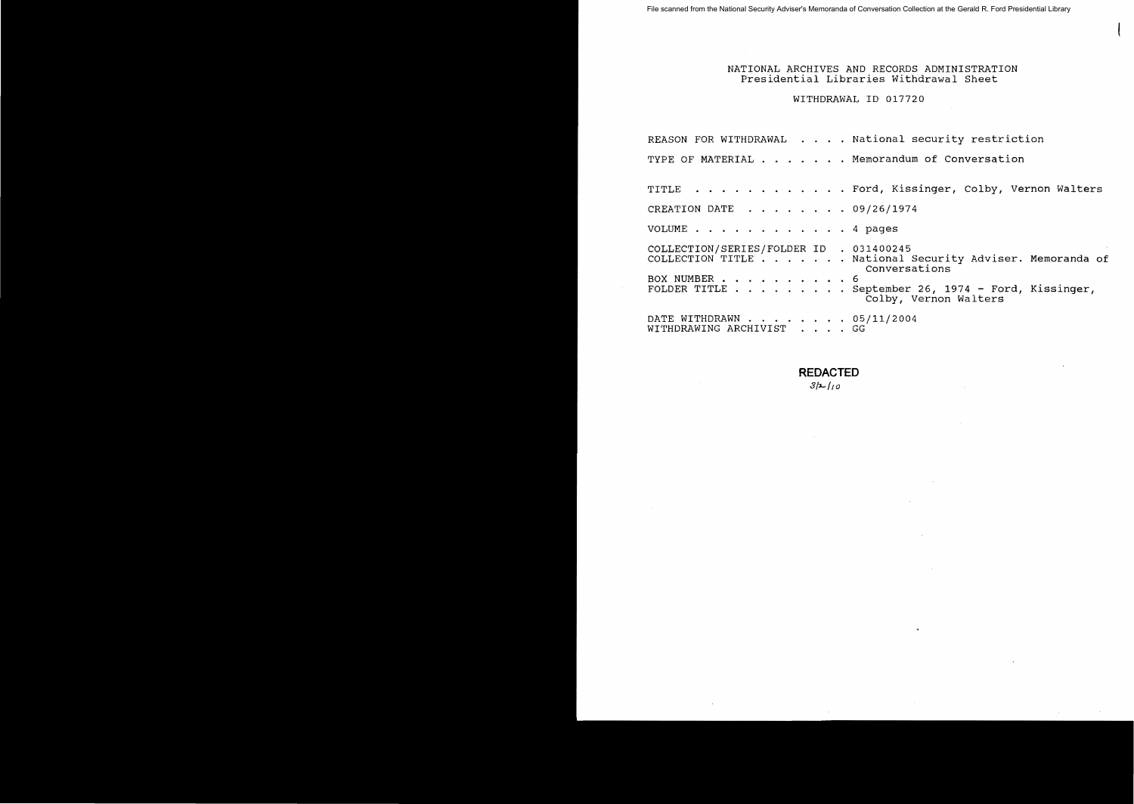#### NATIONAL ARCHIVES AND RECORDS ADMINISTRATION Presidential Libraries Withdrawal Sheet

## WITHDRAWAL 10 017720

REASON FOR WITHDRAWAL  $\dots$  . National security restriction TYPE OF MATERIAL . . . . . . Memorandum of Conversation TITLE . . . . . . . . . . . . Ford, Kissinger, Colby, Vernon Walters CREATION DATE  $\ldots$   $\ldots$   $\ldots$  09/26/1974 VOLUME . . . . . . . . . . . . 4 pages COLLECTION/SERIES/FOLDER ID . 031400245 COLLECTION TITLE . . . . . . National Security Adviser. Memoranda of conversations BOX NUMBER . . . . . .. . 6 FOLDER TITLE.. ... September 26, 1974 - Ford, Kissinger, Colby, Vernon Walters DATE WITHDRAWN . . . . . . . 05/11/2004 WITHDRAWING ARCHIVIST . . . . GG

#### **REDACTED**

 $3h/10$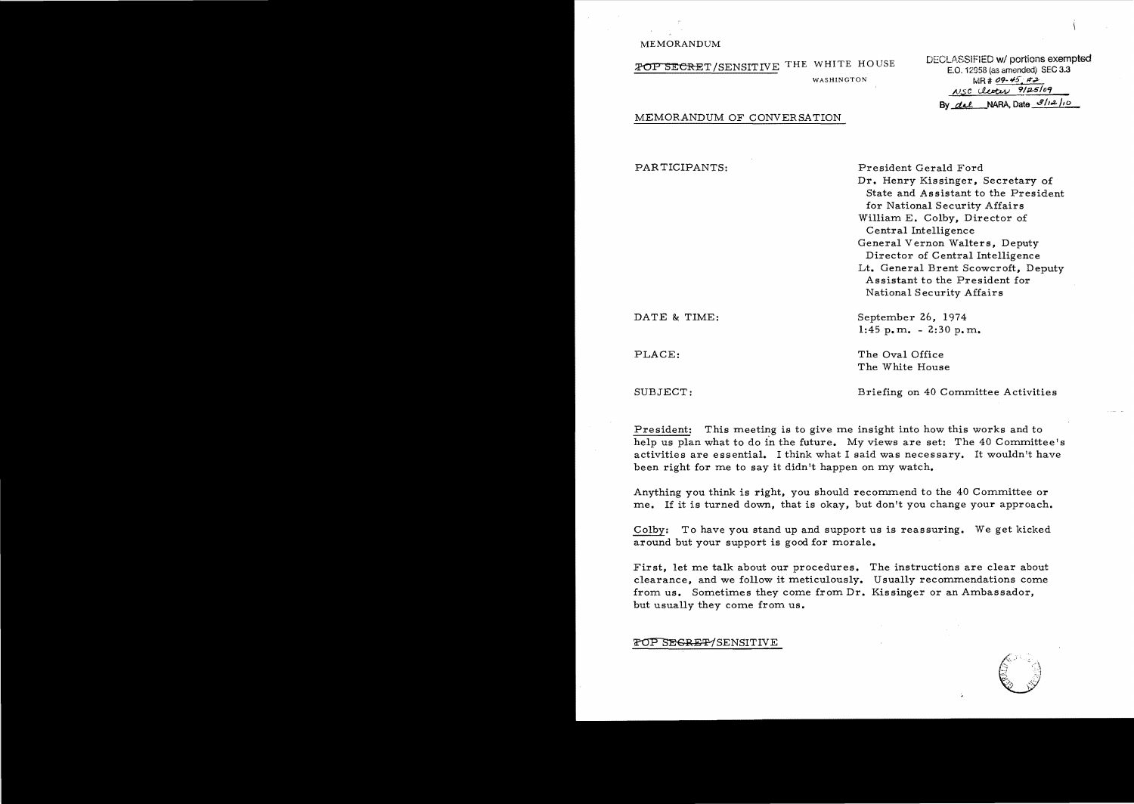#### MEMORANDUM

**POP SECRET /SENSITIVE THE WHITE HOUSE DECLASSIFIED w/ portions exempted**  $\overline{E}$ . 12958 (as amended) SEC 3.3

WASHINGTON **MR# 09-45** #2 NSC clercy 9/25/09 By *del* NARA, Date  $3/12/10$ 

#### MEMORANDUM OF CONVERSATION

| PARTICIPANTS: | President Gerald Ford<br>Dr. Henry Kissinger, Secretary of<br>State and Assistant to the President<br>for National Security Affairs<br>William E. Colby, Director of<br>Central Intelligence<br>General Vernon Walters, Deputy<br>Director of Central Intelligence<br>Lt. General Brent Scowcroft, Deputy |
|---------------|-----------------------------------------------------------------------------------------------------------------------------------------------------------------------------------------------------------------------------------------------------------------------------------------------------------|
|               | Assistant to the President for<br>National Security Affairs                                                                                                                                                                                                                                               |
| DATE & TIME:  | September 26, 1974<br>$1:45$ p.m. $-2:30$ p.m.                                                                                                                                                                                                                                                            |
| PLACE:        | The Oval Office<br>The White House                                                                                                                                                                                                                                                                        |
| SUBJECT:      | Briefing on 40 Committee Activities                                                                                                                                                                                                                                                                       |

President: This meeting is to give me insight into how this works and to help us plan what to do in the future. My views are set: The 40 Committee's activities are essential. I think what I said was necessary. It wouldn't have been right for me to say it didn't happen on my watch.

Anything you think is right, you should recommend to the 40 Committee or me. If it is turned down, that is okay, but don't you change your approach.

Colby: To have you stand up and support us is reassuring. We get kicked around but your support is good for morale.

First, let me talk about our procedures. The instructions are clear about clearance, and we follow it meticulously. Usually recommendations come from us. Sometimes they come from Dr. Kissinger or an Ambassador, but usually they come from us.

FOP SEGRET/SENSITIVE

'.  $\Xi$  :  $\Xi$  $\geqslant -\infty$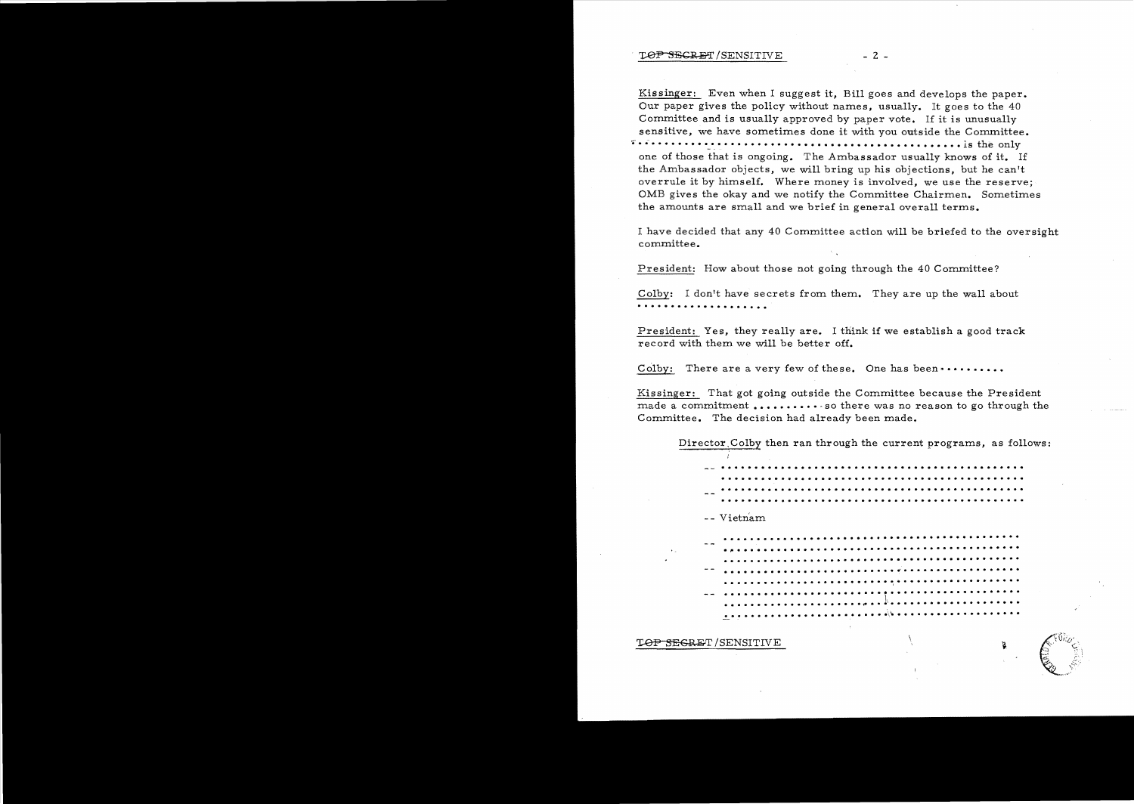#### $\begin{tabular}{ll} \textbf{LOP-SEGRAPH}/SENTIVE & \textbf{---} & \textbf{---} \end{tabular}$

Kissinger: Even when I suggest it, Bill goes and develops the paper. Our paper gives the policy without names, usually. It goes to the 40 Committee and is usually approved by paper vote. If it is unusually sensitive, we have sometimes done it with you outside the Committee. .. . . ..•. • • ..•••..•...••...............••...•.... **. 1s the only**  one of those that is ongoing. The Ambassador usually knows of it. If the Ambassador objects, we will bring up his objections, but he can't overrule it by himself. Where money is involved, we use the reserve; OMB gives the okay and we notify the Committee Chairmen. Sometimes the amounts are small and we brief in general overall terms.

I have decided that any 40 Committee action will be briefed to the oversight committee.

President: How about those not going through the 40 Committee?

Colby: I don't have secrets from them. They are up the wall about  $\cdots \cdots \cdots \cdots$ 

President: Yes, they really are. I think if we establish a good track record with them we will be better off.

Colby: There are a very few of these. One has been ••••••••••••

Kissinger: That got going outside the Committee because the President made a commitment  $\dots \dots \dots$  so there was no reason to go through the Committee. The decision had already been made.

Director Colby then ran through the current programs, as follows:

. . . . ... . . .. . . . . . . . . . . . . . . . . . . . . . . . . .. .. . . ..... . . . . . . .. . . . .. . . . . . . . . . . . . . . .. . . . . . .. . . . . . . . . .. . . . . .. . . . .. . . .. . ... . . . . . . . . . . . . . . . . . . .. . . . . . .. . . . . . . .

-- Vietnam

.. . . . . .. . .... . . . . . .. . . . . .. . . . . . . . .. . . . . . . . ·~ . .. . . . . . . . .. . . . . . . . . . . .... . . . . . . . . . . . . · . ..... . ...... . . . . . .. . . . . .. . . . . . . . . . . . . . . ·.... . . . . . . . . . . . .... . . . . ~ . . . . . . . . . . . . .. . . . . · . . . . . . . . . . . ... . . . . ~ .. . . . . . . . . . .. . ... . . . . . . . . . • f"f •••I . . . . '. • • • • • • • •••• · . . ......................\\. .................. .

> :~ *j',*   $\mathcal{B}_\infty=\mathcal{B}_\infty$ ,~.-,.,,-'

 $\frac{1}{\sqrt{100}}$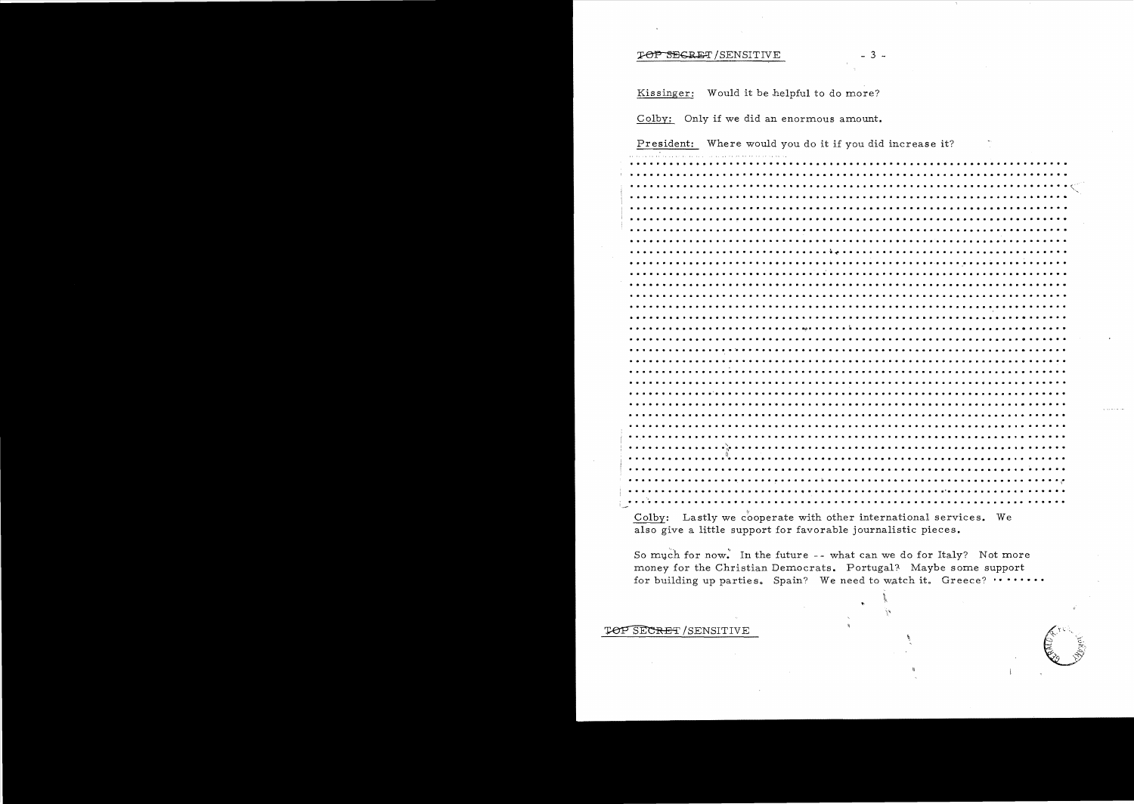#### TOP SEGRET/SENSITIVE

Kissinger: Would it be helpful to do more?

Colby: Only if we did an enormous amount.

President: Where would you do it if you did increase it? 

 $-3-$ 

Colby: Lastly we cooperate with other international services. We also give a little support for favorable journalistic pieces.

So much for now. In the future -- what can we do for Italy? Not more money for the Christian Democrats. Portugal? Maybe some support for building up parties. Spain? We need to watch it. Greece? .......

#### TOP SECRET / SENSITIVE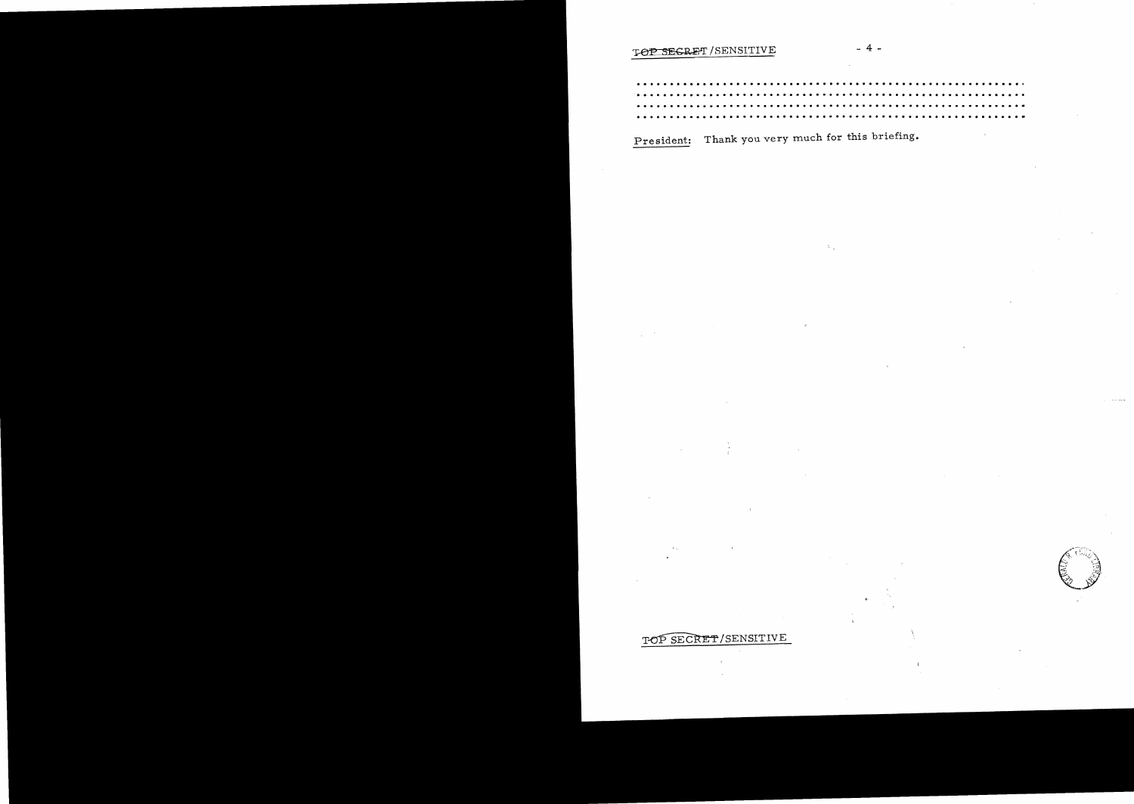# TOP SEGRET / SENSITIVE

 $4 -$ 

President: Thank you very much for this briefing.

# TOP SECRET/SENSITIVE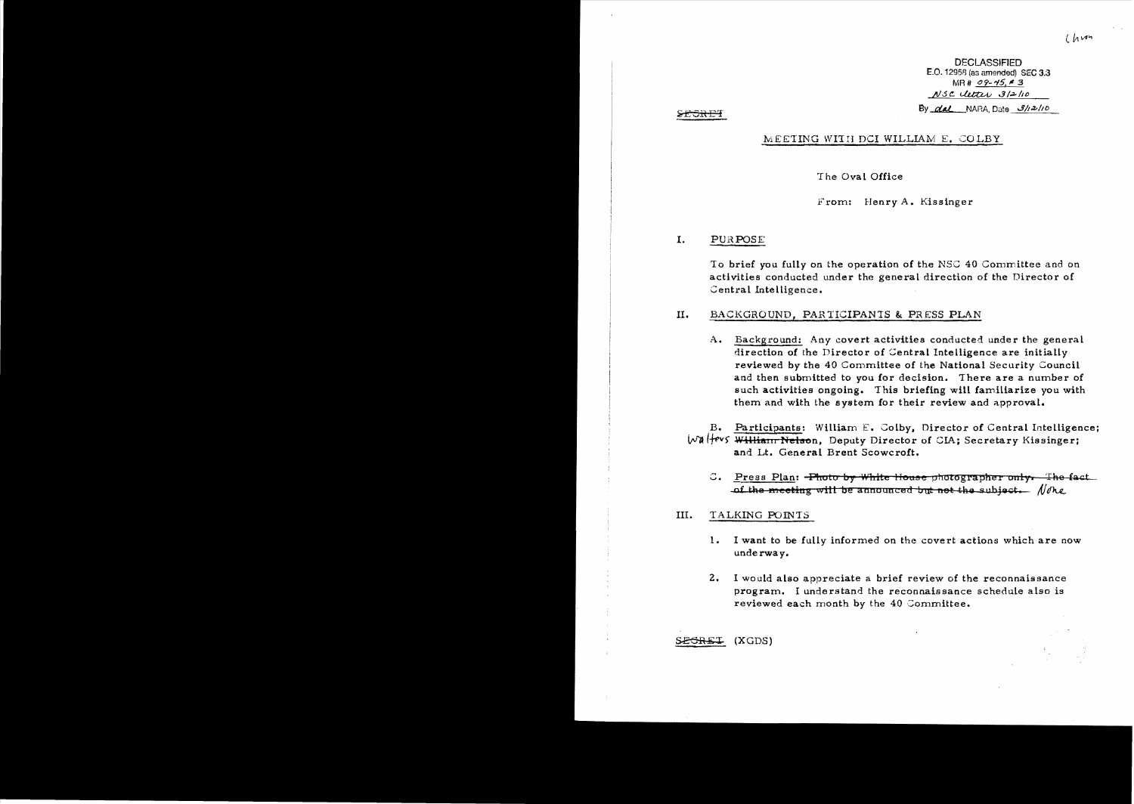**DECLASSIFIED** E.O. 12958 (as amended) SEC 3.3  $MR# 09 - 45, # 3$ NSC letter 3/2/10 By  $\alpha$ al NARA Date  $\beta$ /12/10

#### **SECRET**

### MEETING WITH DCI WILLIAM E. COLBY

#### The Oval Office

From: Henry A. Kissinger

#### $\mathbf{I}$ . PURPOSE

To brief you fully on the operation of the NSC 40 Committee and on activities conducted under the general direction of the Director of Central Intelligence.

#### II. BACKGROUND, PARTICIPANTS & PRESS PLAN

A. Background: Any covert activities conducted under the general direction of the Director of Central Intelligence are initially reviewed by the 40 Committee of the National Security Council and then submitted to you for decision. There are a number of such activities ongoing. This briefing will familiarize you with them and with the system for their review and approval.

B. Participants: William E. Colby, Director of Central Intelligence; Walters William Nelson, Deputy Director of CIA; Secretary Kissinger; and Lt. General Brent Scowcroft.

C. Press Plan: -Photo by White House photographer only. The fact of the meeting will be announced but not the subject. None

#### III. TALKING POINTS

- I want to be fully informed on the covert actions which are now 1. underway.
- $2.$ I would also appreciate a brief review of the reconnaissance program. I understand the reconnaissance schedule also is reviewed each month by the 40 Committee.

SEGREI (XGDS)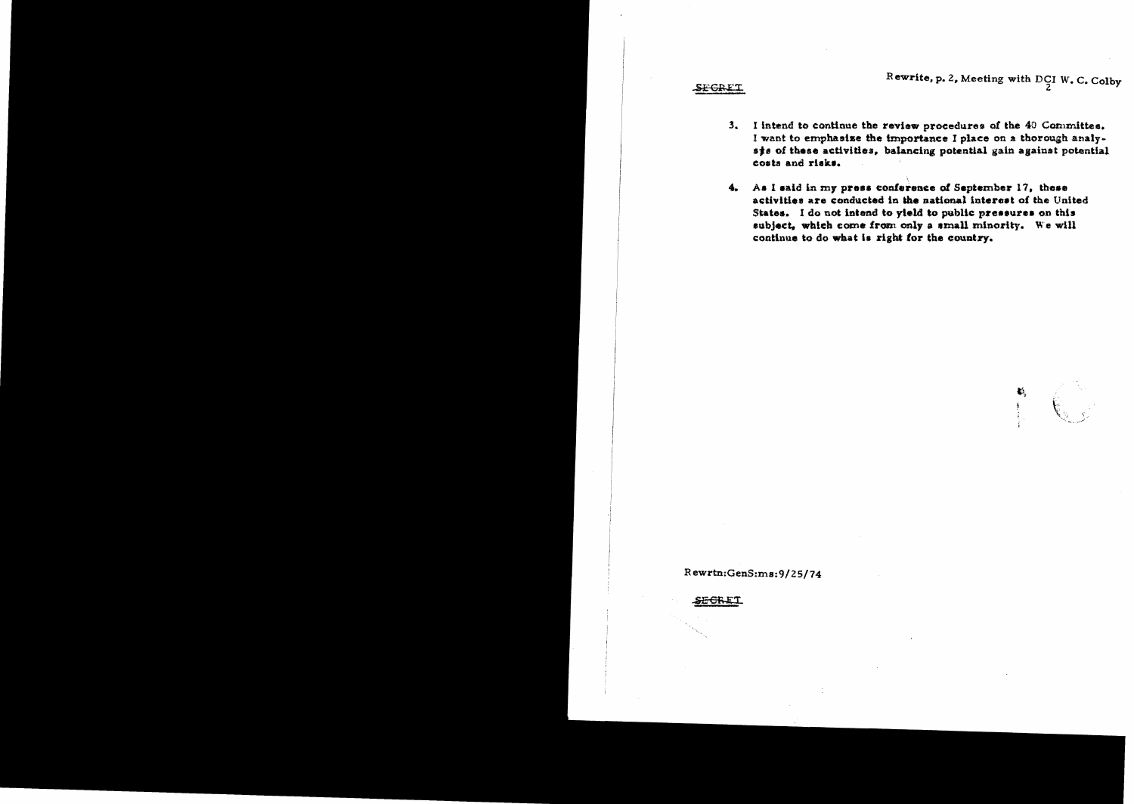Rewrite, p. 2, Meeting with DCI W. C. Colby

**SEGRET** 

- $3.$ I intend to continue the review procedures of the 40 Committes. I want to emphasise the importance I place on a thorough analyste of these activities, balancing potential gain against potential costs and risks.
- As I said in my press conference of September 17, these  $4.$ activities are conducted in the national interest of the United States. I do not intend to yield to public pressures on this subject, which come from only a small minority. We will continue to do what is right for the country.

 $\mathbf{C}_2$ 

Rewrtn:GenS:ms:9/25/74

<del>SECRE</del>T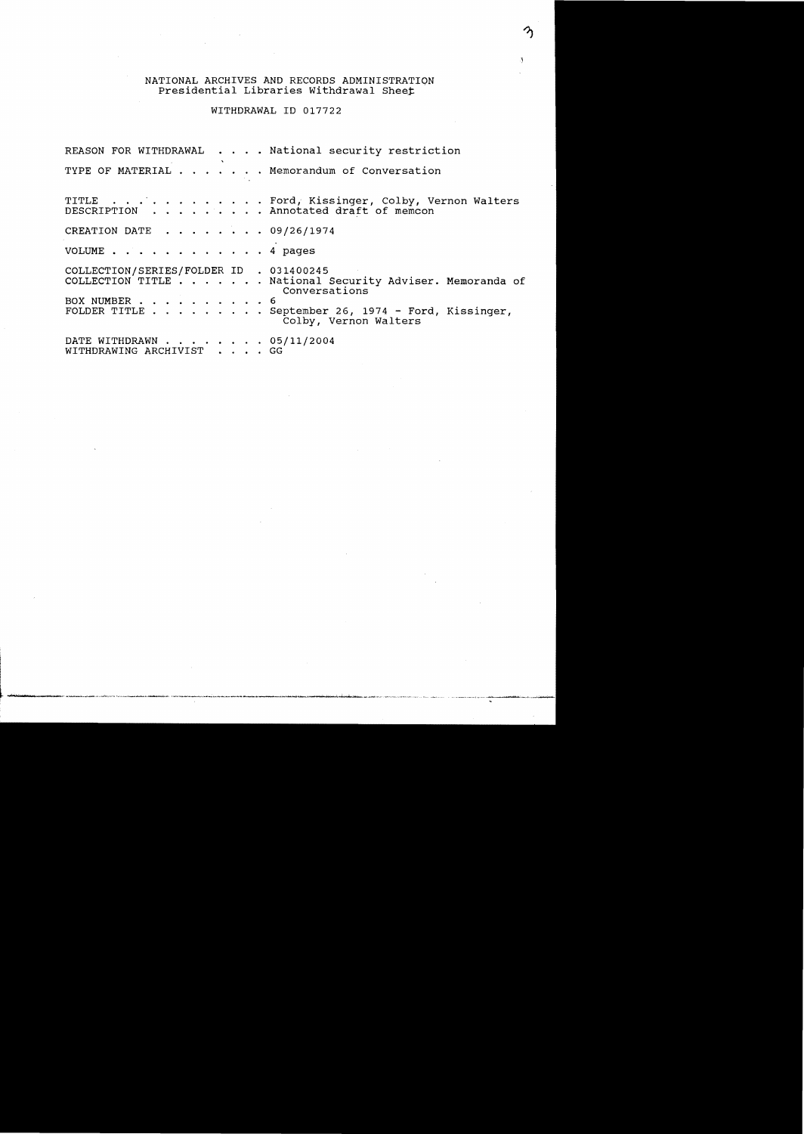#### NATIONAL ARCHIVES AND RECORDS ADMINISTRATION Presidential Libraries Withdrawal Sheet

WITHDRAWAL ID 017722

REASON FOR WITHDRAWAL  $\dots$  . National security restriction TYPE OF MATERIAL  $\cdots$   $\cdots$  . Memorandum of Conversation TITLE . . . . . . . . . . . . Ford, Kissinger, Colby, Vernon Walters<br>DESCRIPTION . . . . . . . . Annotated draft of memcon . . Annotated draft of memcon CREATION DATE  $\ldots$ ,  $\ldots$ , 09/26/1974 VOLUME . . . . . . . . . . . . 4 pages COLLECTION/SERIES/FOLDER ID . 031400245 COLLECTION TITLE . . . . . . National Security Adviser. Memoranda of Conversations BOX NUMBER . . . . . . . . . . 6<br>FOLDER TITLE . . . . . . . . . S . September 26, 1974 - Ford, Kissinger, Colby, Vernon Walters DATE WITHDRAWN  $\ldots$ , . . . . 05/11/2004<br>WITHDRAWING ARCHIVIST WITHDRAWING ARCHIVIST . . .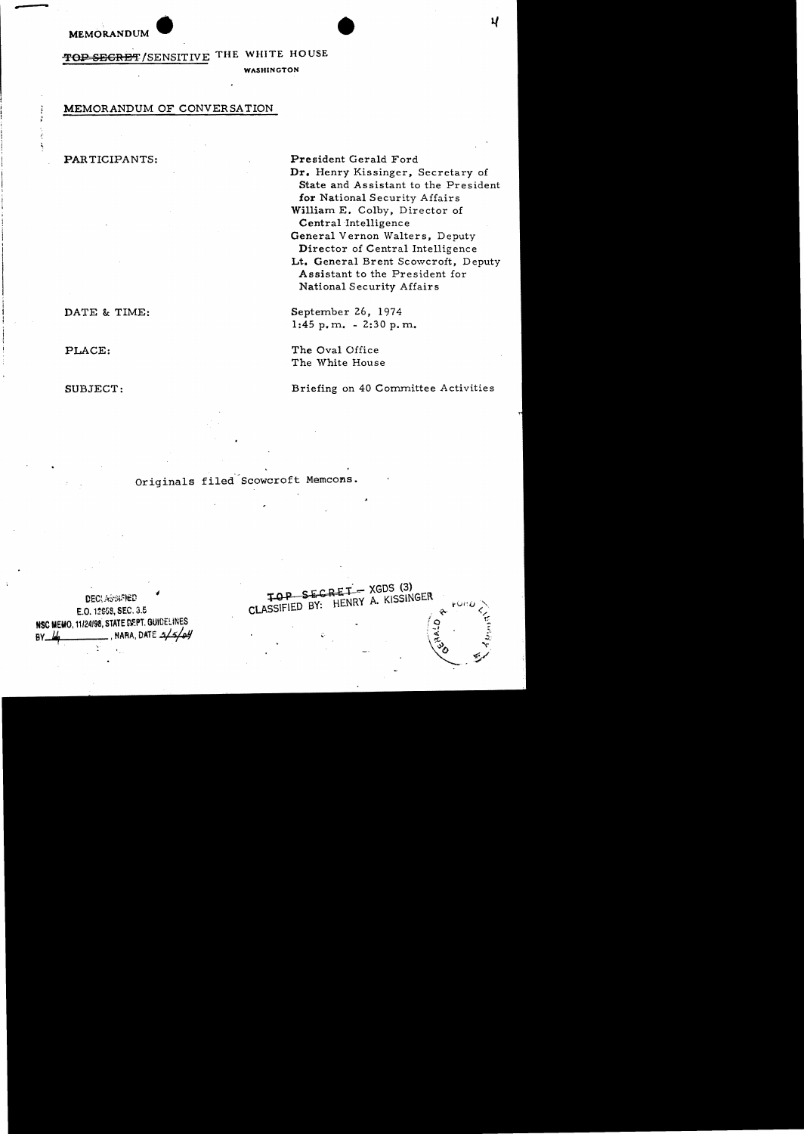MEMORANDUM

THE WHITE HOUSE TOP SEGRET/SENSITIVE

**WASHINGTON** 

## MEMORANDUM OF CONVERSATION

#### PARTICIPANTS:

DATE & TIME:

PLACE:

SUBJECT:

President Gerald Ford Dr. Henry Kissinger, Secretary of State and Assistant to the President for National Security Affairs William E. Colby, Director of Central Intelligence General Vernon Walters, Deputy Director of Central Intelligence Lt. General Brent Scowcroft, Deputy Assistant to the President for National Security Affairs

September 26, 1974  $1:45 p,m. -2:30 p,m.$ 

SECRET-XGDS (3)

CLASSIFIED BY: HENRY A. KISSINGER

The Oval Office The White House

Briefing on 40 Committee Activities

Originals filed Scowcroft Memcons.

**DECLASSWRED** E.O. 12859, SEC. 3.5 NSC MEMO, 11/24/98, STATE DEPT. GUIDELINES NARA, DATE  $\frac{1}{2}$  / BY.